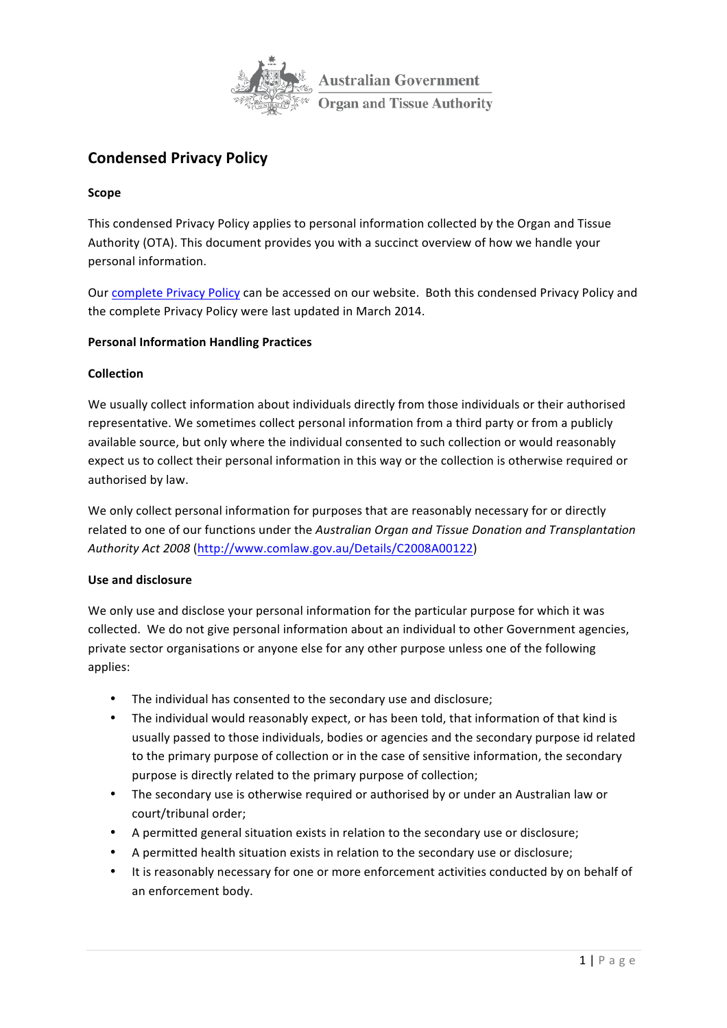

# **Condensed Privacy Policy**

# **Scope**

This condensed Privacy Policy applies to personal information collected by the Organ and Tissue Authority (OTA). This document provides you with a succinct overview of how we handle your personal information.

Our complete Privacy Policy can be accessed on our website. Both this condensed Privacy Policy and the complete Privacy Policy were last updated in March 2014.

## **Personal Information Handling Practices**

## **Collection**

We usually collect information about individuals directly from those individuals or their authorised representative. We sometimes collect personal information from a third party or from a publicly available source, but only where the individual consented to such collection or would reasonably expect us to collect their personal information in this way or the collection is otherwise required or authorised by law.

We only collect personal information for purposes that are reasonably necessary for or directly related to one of our functions under the *Australian Organ and Tissue Donation and Transplantation Authority Act 2008* (http://www.comlaw.gov.au/Details/C2008A00122) 

## **Use and disclosure**

We only use and disclose your personal information for the particular purpose for which it was collected. We do not give personal information about an individual to other Government agencies, private sector organisations or anyone else for any other purpose unless one of the following applies:

- The individual has consented to the secondary use and disclosure;
- The individual would reasonably expect, or has been told, that information of that kind is usually passed to those individuals, bodies or agencies and the secondary purpose id related to the primary purpose of collection or in the case of sensitive information, the secondary purpose is directly related to the primary purpose of collection;
- The secondary use is otherwise required or authorised by or under an Australian law or court/tribunal order;
- A permitted general situation exists in relation to the secondary use or disclosure;
- A permitted health situation exists in relation to the secondary use or disclosure:
- It is reasonably necessary for one or more enforcement activities conducted by on behalf of an enforcement body.